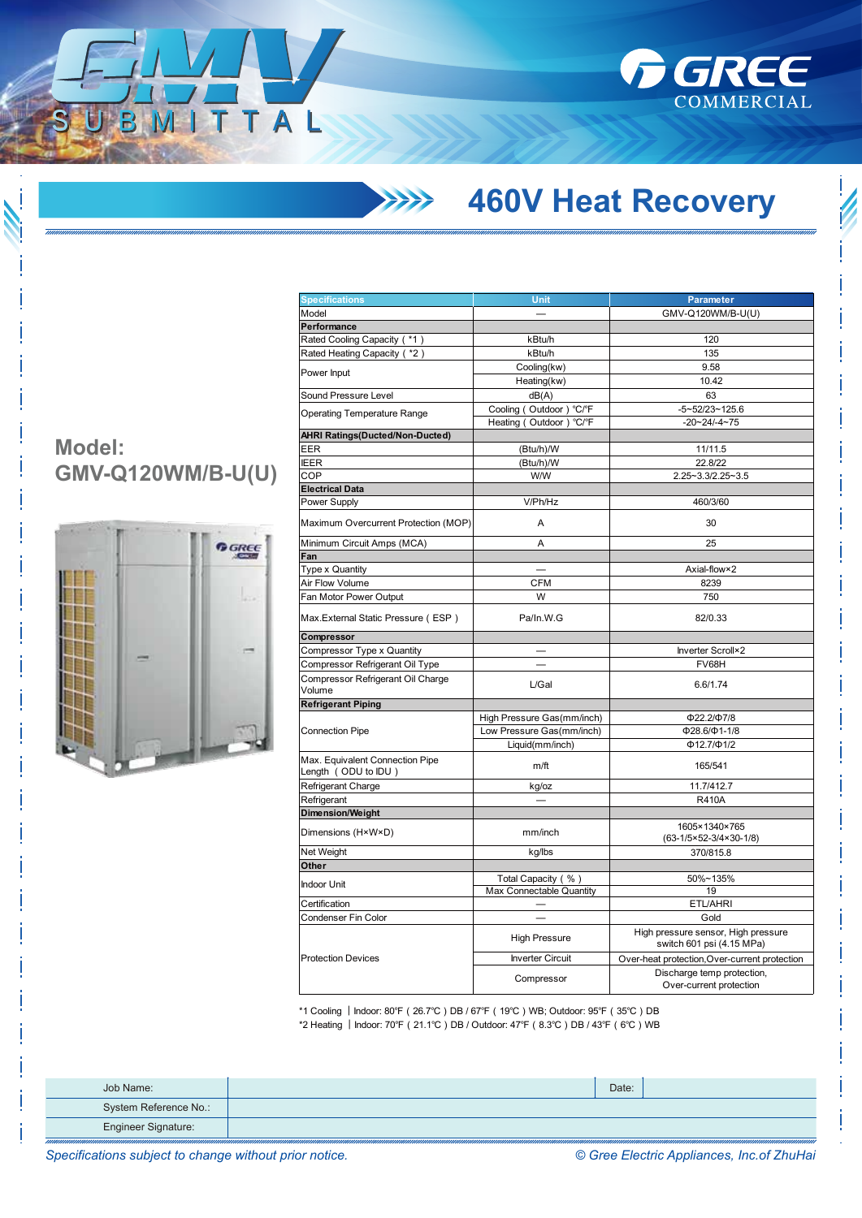

## **460V Heat Recovery**

## **Model: GMV-Q120WM/B-U(U)**

ITTAL



| <b>Specifications</b>                                  | <b>Unit</b>                                    | <b>Parameter</b>                                                 |  |
|--------------------------------------------------------|------------------------------------------------|------------------------------------------------------------------|--|
| Model                                                  |                                                | GMV-Q120WM/B-U(U)                                                |  |
| Performance                                            |                                                |                                                                  |  |
| Rated Cooling Capacity ( *1)                           | kBtu/h                                         | 120                                                              |  |
| Rated Heating Capacity ( *2)                           | kBtu/h                                         | 135                                                              |  |
|                                                        | Cooling(kw)                                    | 9.58                                                             |  |
| Power Input                                            | Heating(kw)                                    | 10.42                                                            |  |
| Sound Pressure Level                                   | dB(A)                                          | 63                                                               |  |
|                                                        | Cooling (Outdoor) °C/°F                        | $-5 - 52/23 - 125.6$                                             |  |
| <b>Operating Temperature Range</b>                     | Heating (Outdoor) °C/°F                        | $-20 - 24 - 4 - 75$                                              |  |
| AHRI Ratings(Ducted/Non-Ducted)                        |                                                |                                                                  |  |
| EER                                                    | (Btu/h)/W                                      | 11/11.5                                                          |  |
| <b>IEER</b>                                            | (Btu/h)/W                                      | 22.8/22                                                          |  |
| COP                                                    | W/W                                            | 2.25~3.3/2.25~3.5                                                |  |
| <b>Electrical Data</b>                                 |                                                |                                                                  |  |
| Power Supply                                           | V/Ph/Hz                                        | 460/3/60                                                         |  |
|                                                        |                                                |                                                                  |  |
| Maximum Overcurrent Protection (MOP)                   | A                                              | 30                                                               |  |
| Minimum Circuit Amps (MCA)                             | A                                              | 25                                                               |  |
| Fan                                                    |                                                |                                                                  |  |
| Type x Quantity                                        |                                                | Axial-flow×2                                                     |  |
| Air Flow Volume                                        | <b>CFM</b>                                     | 8239                                                             |  |
| Fan Motor Power Output                                 | W                                              | 750                                                              |  |
| Max. External Static Pressure (ESP)                    | Pa/In.W.G                                      | 82/0.33                                                          |  |
| Compressor                                             |                                                |                                                                  |  |
| Compressor Type x Quantity                             |                                                | Inverter Scroll×2                                                |  |
| Compressor Refrigerant Oil Type                        |                                                | FV68H                                                            |  |
| Compressor Refrigerant Oil Charge                      |                                                |                                                                  |  |
| Volume                                                 | L/Gal                                          | 6.6/1.74                                                         |  |
| <b>Refrigerant Piping</b>                              |                                                |                                                                  |  |
| <b>Connection Pipe</b>                                 | High Pressure Gas(mm/inch)                     | Ф22.2/Ф7/8                                                       |  |
|                                                        | Low Pressure Gas(mm/inch)                      | Ф28.6/Ф1-1/8                                                     |  |
|                                                        | Liquid(mm/inch)                                | $\Phi$ 12.7/ $\Phi$ 1/2                                          |  |
| Max. Equivalent Connection Pipe<br>Length (ODU to IDU) | m/ft                                           | 165/541                                                          |  |
| Refrigerant Charge                                     | kg/oz                                          | 11.7/412.7                                                       |  |
| Refrigerant                                            |                                                | <b>R410A</b>                                                     |  |
| <b>Dimension/Weight</b>                                |                                                |                                                                  |  |
| Dimensions (H×W×D)                                     | mm/inch                                        | 1605×1340×765<br>$(63-1/5\times52-3/4\times30-1/8)$              |  |
|                                                        |                                                | 370/815.8                                                        |  |
| Net Weight<br>Other                                    | kg/lbs                                         |                                                                  |  |
|                                                        |                                                | 50%~135%                                                         |  |
| <b>Indoor Unit</b>                                     | Total Capacity (%)<br>Max Connectable Quantity | 19                                                               |  |
| Certification                                          |                                                | ETL/AHRI                                                         |  |
| Condenser Fin Color                                    |                                                | Gold                                                             |  |
|                                                        |                                                |                                                                  |  |
|                                                        | <b>High Pressure</b>                           | High pressure sensor, High pressure<br>switch 601 psi (4.15 MPa) |  |
| <b>Protection Devices</b>                              | <b>Inverter Circuit</b>                        | Over-heat protection, Over-current protection                    |  |
|                                                        | Compressor                                     | Discharge temp protection,<br>Over-current protection            |  |
|                                                        |                                                |                                                                  |  |

\*1 Cooling ︱Indoor: 80℉(26.7℃)DB / 67℉(19℃)WB; Outdoor: 95℉(35℃)DB \*2 Heating ︱Indoor: 70℉(21.1℃)DB / Outdoor: 47℉(8.3℃)DB / 43℉(6℃)WB

| Job Name:             | Date: |  |
|-----------------------|-------|--|
| System Reference No.: |       |  |
| Engineer Signature:   |       |  |

*Specifications subject to change without prior notice. © Gree Electric Appliances, Inc.of ZhuHai*